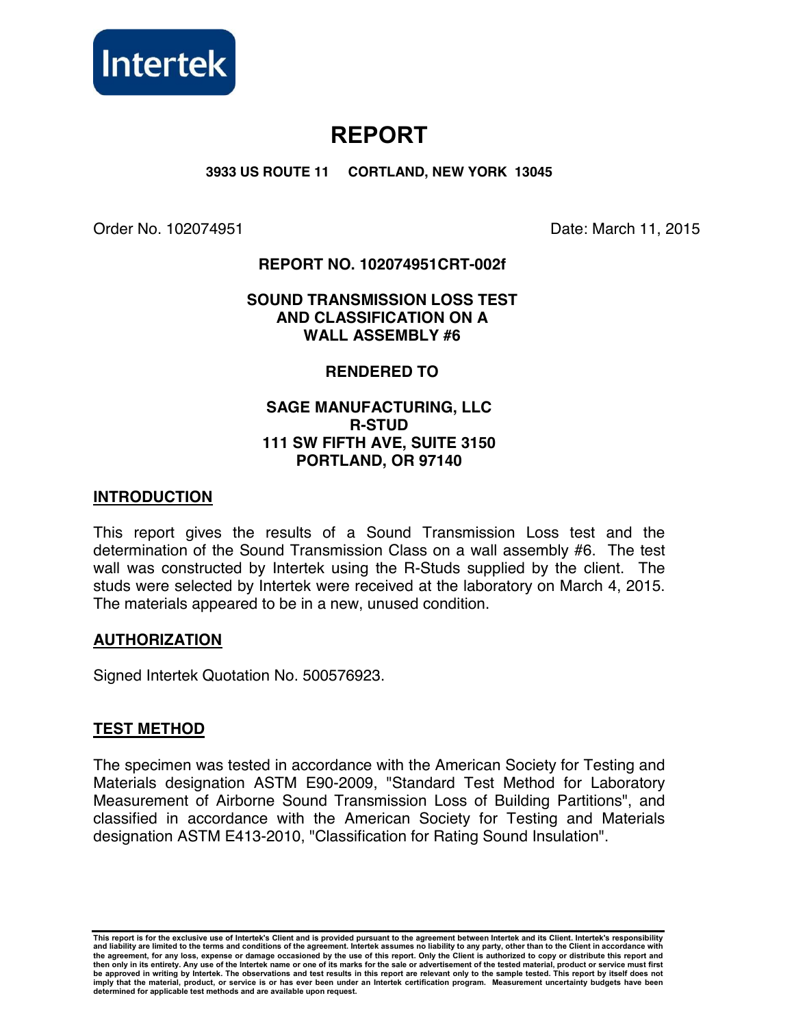

# **REPORT**

**3933 US ROUTE 11 CORTLAND, NEW YORK 13045** 

Order No. 102074951 Date: March 11, 2015

## **REPORT NO. 102074951CRT-002f**

## **SOUND TRANSMISSION LOSS TEST AND CLASSIFICATION ON A WALL ASSEMBLY #6**

## **RENDERED TO**

## **SAGE MANUFACTURING, LLC R-STUD 111 SW FIFTH AVE, SUITE 3150 PORTLAND, OR 97140**

## **INTRODUCTION**

This report gives the results of a Sound Transmission Loss test and the determination of the Sound Transmission Class on a wall assembly #6. The test wall was constructed by Intertek using the R-Studs supplied by the client. The studs were selected by Intertek were received at the laboratory on March 4, 2015. The materials appeared to be in a new, unused condition.

#### **AUTHORIZATION**

Signed Intertek Quotation No. 500576923.

## **TEST METHOD**

The specimen was tested in accordance with the American Society for Testing and Materials designation ASTM E90-2009, "Standard Test Method for Laboratory Measurement of Airborne Sound Transmission Loss of Building Partitions", and classified in accordance with the American Society for Testing and Materials designation ASTM E413-2010, "Classification for Rating Sound Insulation".

**This report is for the exclusive use of Intertek's Client and is provided pursuant to the agreement between Intertek and its Client. Intertek's responsibility**  and liability are limited to the terms and conditions of the agreement. Intertek assumes no liability to any party, other than to the Client in accordance with<br>the agreement, for any loss, expense or damage occasioned by t **then only in its entirety. Any use of the Intertek name or one of its marks for the sale or advertisement of the tested material, product or service must first be approved in writing by Intertek. The observations and test results in this report are relevant only to the sample tested. This report by itself does not imply that the material, product, or service is or has ever been under an Intertek certification program. Measurement uncertainty budgets have been determined for applicable test methods and are available upon request.**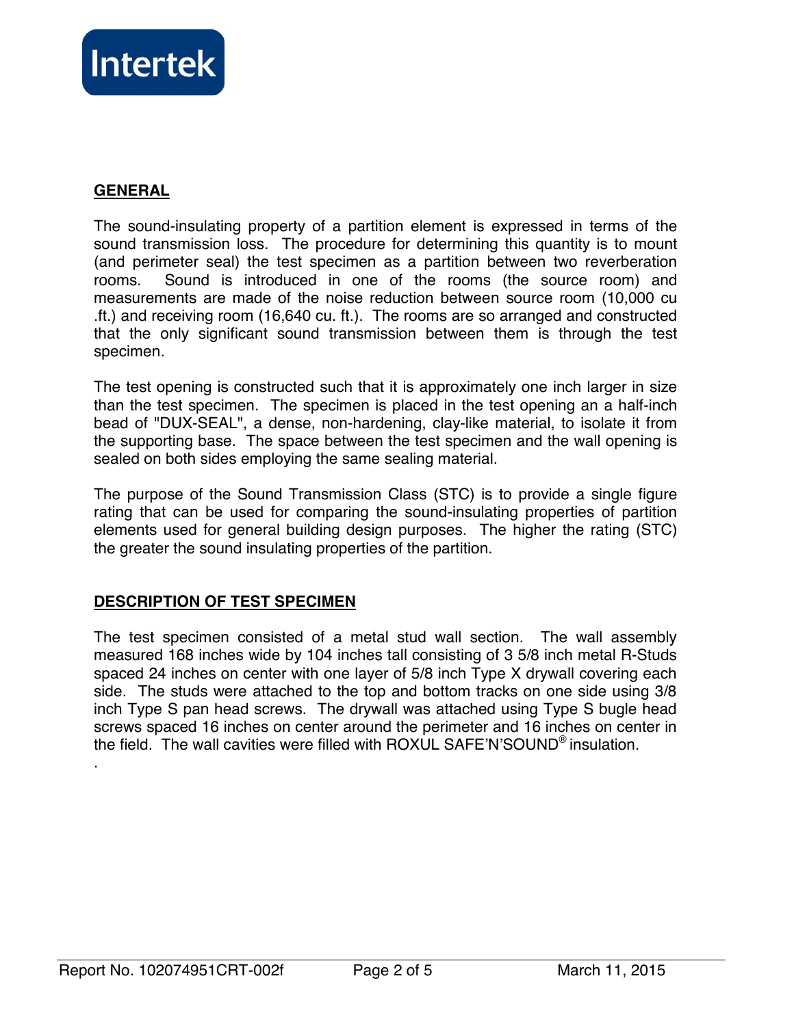

## **GENERAL**

The sound-insulating property of a partition element is expressed in terms of the sound transmission loss. The procedure for determining this quantity is to mount (and perimeter seal) the test specimen as a partition between two reverberation rooms. Sound is introduced in one of the rooms (the source room) and measurements are made of the noise reduction between source room (10,000 cu .ft.) and receiving room (16,640 cu. ft.). The rooms are so arranged and constructed that the only significant sound transmission between them is through the test specimen.

The test opening is constructed such that it is approximately one inch larger in size than the test specimen. The specimen is placed in the test opening an a half-inch bead of "DUX-SEAL", a dense, non-hardening, clay-like material, to isolate it from the supporting base. The space between the test specimen and the wall opening is sealed on both sides employing the same sealing material.

The purpose of the Sound Transmission Class (STC) is to provide a single figure rating that can be used for comparing the sound-insulating properties of partition elements used for general building design purposes. The higher the rating (STC) the greater the sound insulating properties of the partition.

## **DESCRIPTION OF TEST SPECIMEN**

The test specimen consisted of a metal stud wall section. The wall assembly measured 168 inches wide by 104 inches tall consisting of 3 5/8 inch metal R-Studs spaced 24 inches on center with one layer of 5/8 inch Type X drywall covering each side. The studs were attached to the top and bottom tracks on one side using 3/8 inch Type S pan head screws. The drywall was attached using Type S bugle head screws spaced 16 inches on center around the perimeter and 16 inches on center in the field. The wall cavities were filled with ROXUL SAFE'N'SOUND® insulation.

.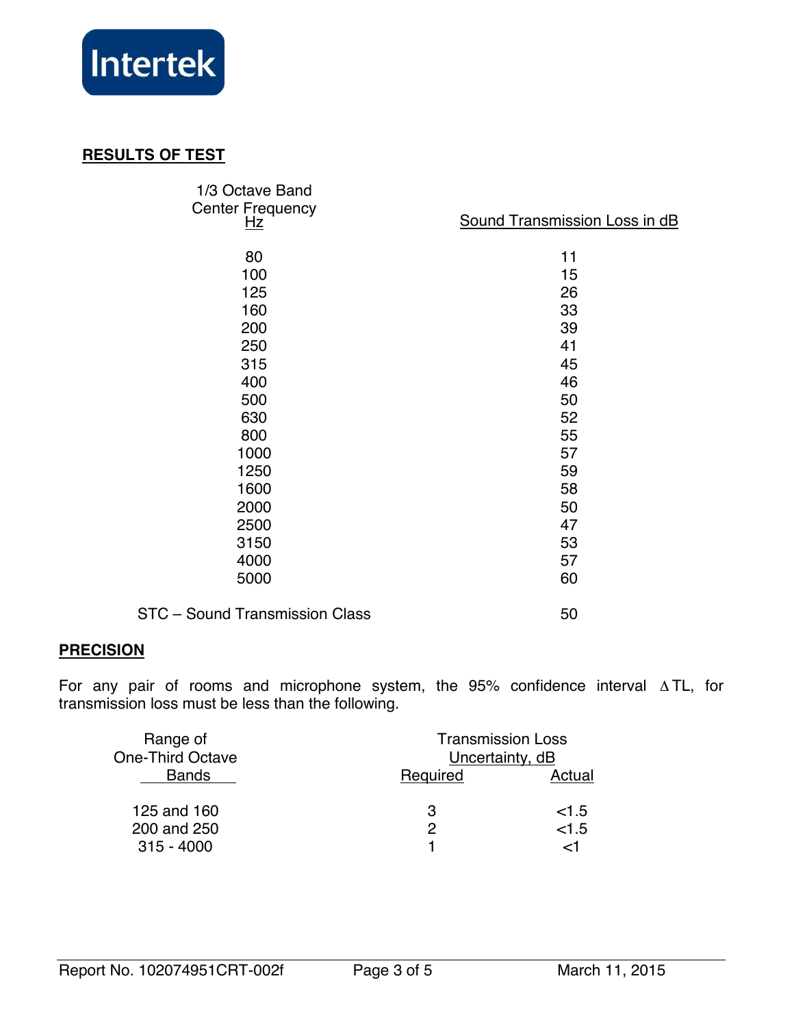

## **RESULTS OF TEST**

| 1/3 Octave Band<br><b>Center Frequency</b><br><u>Hz</u> | <b>Sound Transmission Loss in dB</b> |  |
|---------------------------------------------------------|--------------------------------------|--|
| 80                                                      | 11                                   |  |
| 100                                                     | 15                                   |  |
| 125                                                     | 26                                   |  |
| 160                                                     | 33                                   |  |
| 200                                                     | 39                                   |  |
| 250                                                     | 41                                   |  |
| 315                                                     | 45                                   |  |
| 400                                                     | 46                                   |  |
| 500                                                     | 50                                   |  |
| 630                                                     | 52                                   |  |
| 800                                                     | 55                                   |  |
| 1000                                                    | 57                                   |  |
| 1250                                                    | 59                                   |  |
| 1600                                                    | 58                                   |  |
| 2000                                                    | 50                                   |  |
| 2500                                                    | 47                                   |  |
| 3150                                                    | 53                                   |  |
| 4000                                                    | 57                                   |  |
| 5000                                                    | 60                                   |  |
| STC - Sound Transmission Class                          | 50                                   |  |

## **PRECISION**

For any pair of rooms and microphone system, the 95% confidence interval ∆ TL, for transmission loss must be less than the following.

| Range of                | <b>Transmission Loss</b><br>Uncertainty, dB |        |
|-------------------------|---------------------------------------------|--------|
| <b>One-Third Octave</b> |                                             |        |
| <b>Bands</b>            | Required                                    | Actual |
|                         |                                             |        |
| 125 and 160             | З                                           | <1.5   |
| 200 and 250             | 2                                           | < 1.5  |
| $315 - 4000$            |                                             | ا~     |
|                         |                                             |        |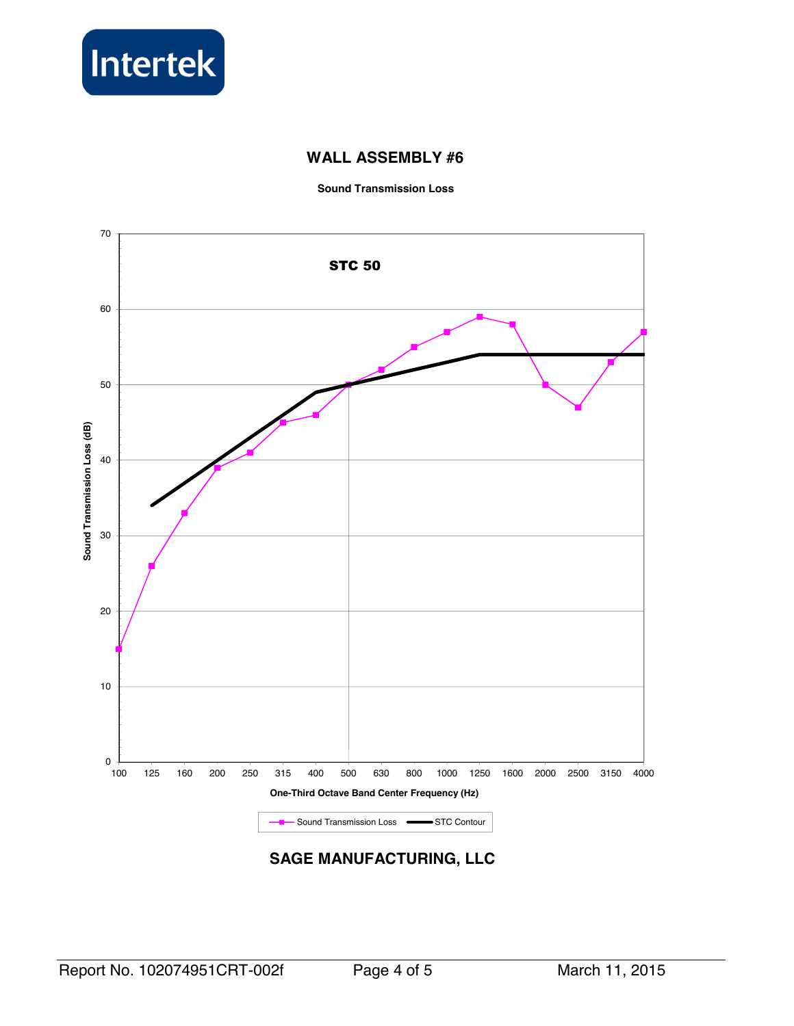

## **WALL ASSEMBLY #6**

**Sound Transmission Loss** 



**SAGE MANUFACTURING, LLC**